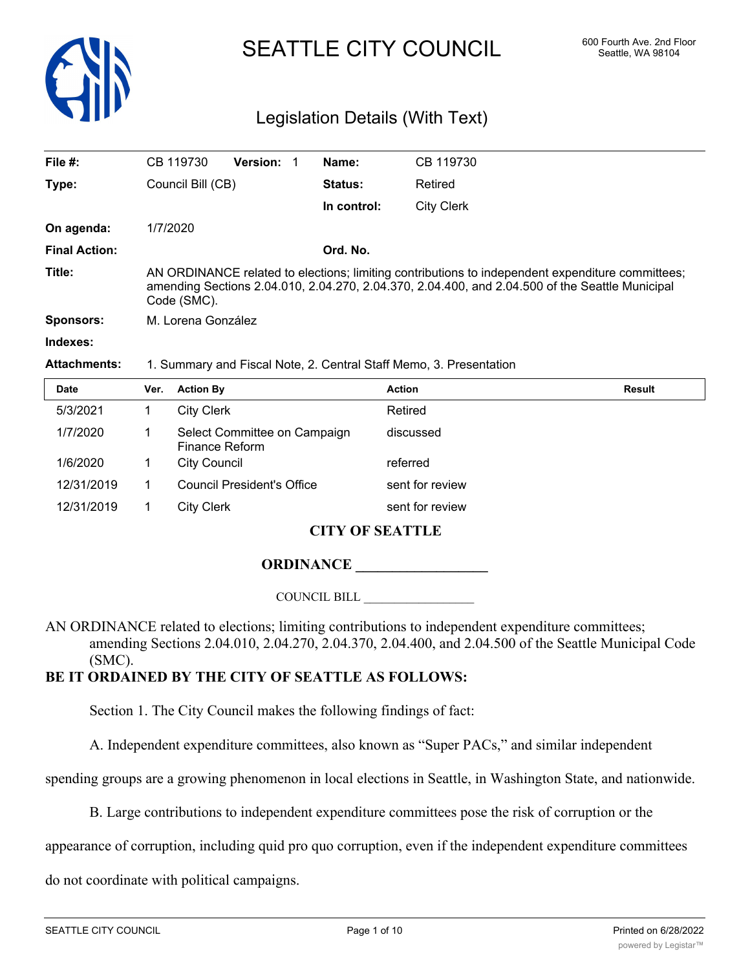

# SEATTLE CITY COUNCIL 600 Fourth Ave. 2nd Floor

## Legislation Details (With Text)

| File #:              | CB 119730                                                                                                                                                                                                          | <b>Version: 1</b> |  | Name:          | CB 119730  |
|----------------------|--------------------------------------------------------------------------------------------------------------------------------------------------------------------------------------------------------------------|-------------------|--|----------------|------------|
| Type:                | Council Bill (CB)                                                                                                                                                                                                  |                   |  | <b>Status:</b> | Retired    |
|                      |                                                                                                                                                                                                                    |                   |  | In control:    | City Clerk |
| On agenda:           | 1/7/2020                                                                                                                                                                                                           |                   |  |                |            |
| <b>Final Action:</b> |                                                                                                                                                                                                                    |                   |  | Ord. No.       |            |
| Title:               | AN ORDINANCE related to elections; limiting contributions to independent expenditure committees;<br>amending Sections 2.04.010, 2.04.270, 2.04.370, 2.04.400, and 2.04.500 of the Seattle Municipal<br>Code (SMC). |                   |  |                |            |
| <b>Sponsors:</b>     | M. Lorena González                                                                                                                                                                                                 |                   |  |                |            |
| Indexes:             |                                                                                                                                                                                                                    |                   |  |                |            |
| <b>Attachments:</b>  | 1. Summary and Fiscal Note, 2. Central Staff Memo, 3. Presentation                                                                                                                                                 |                   |  |                |            |

| . |  |  |
|---|--|--|
|   |  |  |

| <b>Date</b> | Ver. | <b>Action By</b>                               | <b>Action</b>   | <b>Result</b> |
|-------------|------|------------------------------------------------|-----------------|---------------|
| 5/3/2021    |      | City Clerk                                     | Retired         |               |
| 1/7/2020    |      | Select Committee on Campaign<br>Finance Reform | discussed       |               |
| 1/6/2020    |      | City Council                                   | referred        |               |
| 12/31/2019  |      | <b>Council President's Office</b>              | sent for review |               |
| 12/31/2019  |      | <b>City Clerk</b>                              | sent for review |               |
|             |      |                                                |                 |               |

## **CITY OF SEATTLE**

## **ORDINANCE \_\_\_\_\_\_\_\_\_\_\_\_\_\_\_\_\_\_**

COUNCIL BILL \_\_\_\_\_\_\_\_\_\_\_\_\_\_\_\_\_\_

AN ORDINANCE related to elections; limiting contributions to independent expenditure committees; amending Sections 2.04.010, 2.04.270, 2.04.370, 2.04.400, and 2.04.500 of the Seattle Municipal Code (SMC).

## **BE IT ORDAINED BY THE CITY OF SEATTLE AS FOLLOWS:**

Section 1. The City Council makes the following findings of fact:

A. Independent expenditure committees, also known as "Super PACs," and similar independent

spending groups are a growing phenomenon in local elections in Seattle, in Washington State, and nationwide.

B. Large contributions to independent expenditure committees pose the risk of corruption or the

appearance of corruption, including quid pro quo corruption, even if the independent expenditure committees

do not coordinate with political campaigns.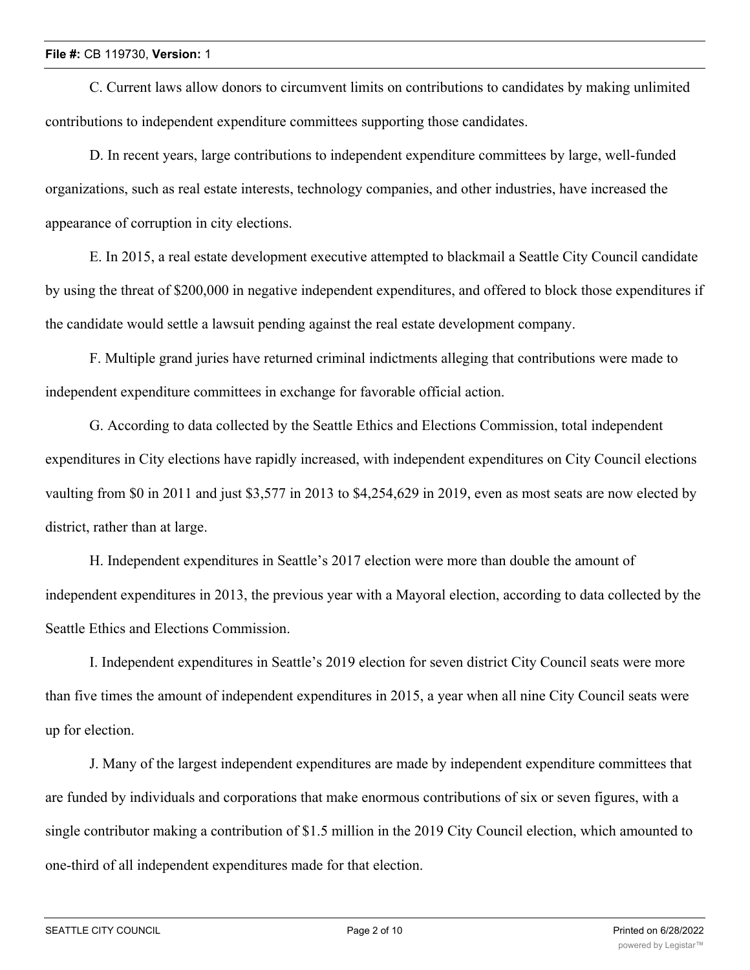#### **File #:** CB 119730, **Version:** 1

C. Current laws allow donors to circumvent limits on contributions to candidates by making unlimited contributions to independent expenditure committees supporting those candidates.

D. In recent years, large contributions to independent expenditure committees by large, well-funded organizations, such as real estate interests, technology companies, and other industries, have increased the appearance of corruption in city elections.

E. In 2015, a real estate development executive attempted to blackmail a Seattle City Council candidate by using the threat of \$200,000 in negative independent expenditures, and offered to block those expenditures if the candidate would settle a lawsuit pending against the real estate development company.

F. Multiple grand juries have returned criminal indictments alleging that contributions were made to independent expenditure committees in exchange for favorable official action.

G. According to data collected by the Seattle Ethics and Elections Commission, total independent expenditures in City elections have rapidly increased, with independent expenditures on City Council elections vaulting from \$0 in 2011 and just \$3,577 in 2013 to \$4,254,629 in 2019, even as most seats are now elected by district, rather than at large.

H. Independent expenditures in Seattle's 2017 election were more than double the amount of independent expenditures in 2013, the previous year with a Mayoral election, according to data collected by the Seattle Ethics and Elections Commission.

I. Independent expenditures in Seattle's 2019 election for seven district City Council seats were more than five times the amount of independent expenditures in 2015, a year when all nine City Council seats were up for election.

J. Many of the largest independent expenditures are made by independent expenditure committees that are funded by individuals and corporations that make enormous contributions of six or seven figures, with a single contributor making a contribution of \$1.5 million in the 2019 City Council election, which amounted to one-third of all independent expenditures made for that election.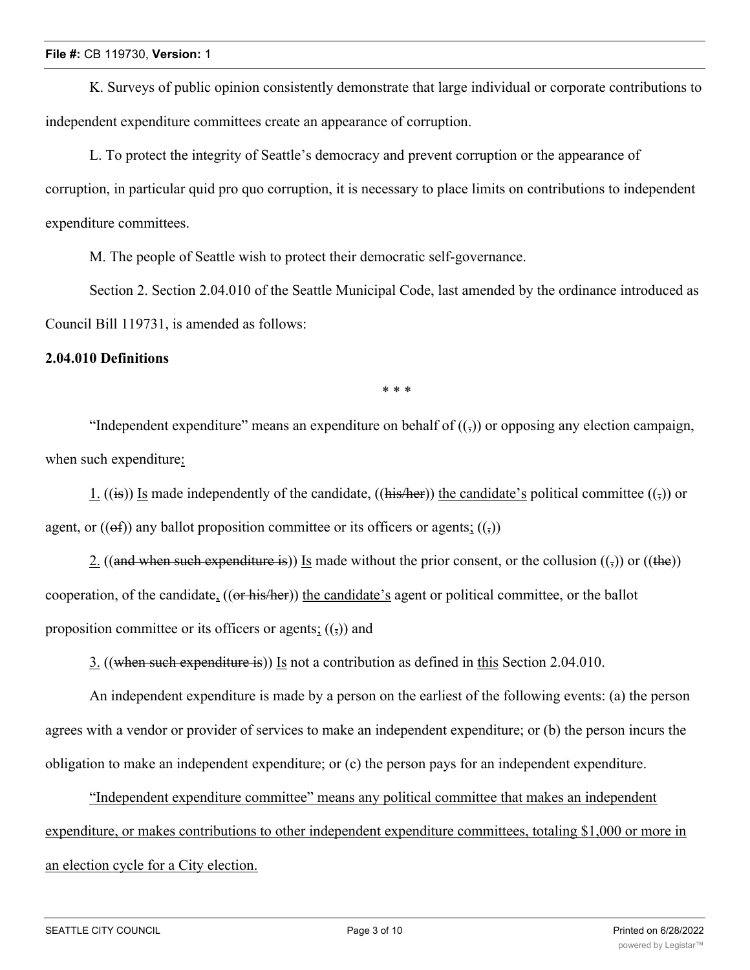K. Surveys of public opinion consistently demonstrate that large individual or corporate contributions to independent expenditure committees create an appearance of corruption.

L. To protect the integrity of Seattle's democracy and prevent corruption or the appearance of corruption, in particular quid pro quo corruption, it is necessary to place limits on contributions to independent expenditure committees.

M. The people of Seattle wish to protect their democratic self-governance.

Section 2. Section 2.04.010 of the Seattle Municipal Code, last amended by the ordinance introduced as Council Bill 119731, is amended as follows:

#### **2.04.010 Definitions**

\* \* \*

"Independent expenditure" means an expenditure on behalf of  $((\tau))$  or opposing any election campaign, when such expenditure:

1. ((is)) Is made independently of the candidate, ((his/her)) the candidate's political committee (( $\overline{z}$ )) or agent, or  $((\theta f))$  any ballot proposition committee or its officers or agents;  $((,))$ 

2. ((and when such expenditure is)) Is made without the prior consent, or the collusion  $(\sigma)$  or ((the)) cooperation, of the candidate, ((or his/her)) the candidate's agent or political committee, or the ballot proposition committee or its officers or agents;  $((\tau))$  and

3. ((when such expenditure is)) Is not a contribution as defined in this Section 2.04.010.

An independent expenditure is made by a person on the earliest of the following events: (a) the person agrees with a vendor or provider of services to make an independent expenditure; or (b) the person incurs the obligation to make an independent expenditure; or (c) the person pays for an independent expenditure.

"Independent expenditure committee" means any political committee that makes an independent expenditure, or makes contributions to other independent expenditure committees, totaling \$1,000 or more in an election cycle for a City election.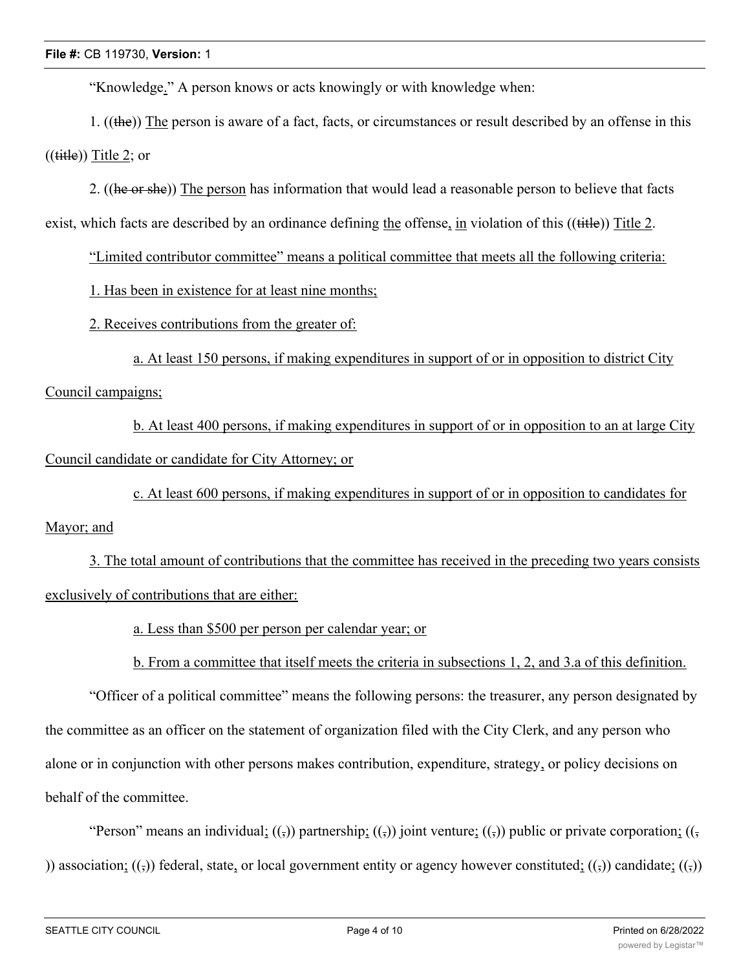"Knowledge." A person knows or acts knowingly or with knowledge when:

1. ((the)) The person is aware of a fact, facts, or circumstances or result described by an offense in this  $((\text{title})$ ) Title 2; or

2. ((he or she)) The person has information that would lead a reasonable person to believe that facts

exist, which facts are described by an ordinance defining the offense, in violation of this ((title)) Title 2.

"Limited contributor committee" means a political committee that meets all the following criteria:

1. Has been in existence for at least nine months;

2. Receives contributions from the greater of:

a. At least 150 persons, if making expenditures in support of or in opposition to district City

Council campaigns;

b. At least 400 persons, if making expenditures in support of or in opposition to an at large City Council candidate or candidate for City Attorney; or

c. At least 600 persons, if making expenditures in support of or in opposition to candidates for

## Mayor; and

3. The total amount of contributions that the committee has received in the preceding two years consists exclusively of contributions that are either:

a. Less than \$500 per person per calendar year; or

b. From a committee that itself meets the criteria in subsections 1, 2, and 3.a of this definition.

"Officer of a political committee" means the following persons: the treasurer, any person designated by the committee as an officer on the statement of organization filed with the City Clerk, and any person who alone or in conjunction with other persons makes contribution, expenditure, strategy, or policy decisions on behalf of the committee.

"Person" means an individual;  $((\tau))$  partnership;  $((\tau))$  joint venture;  $((\tau))$  public or private corporation;  $((\tau))$ )) association; (( $\tau$ )) federal, state, or local government entity or agency however constituted; ( $\tau$ )) candidate; ( $\tau$ ))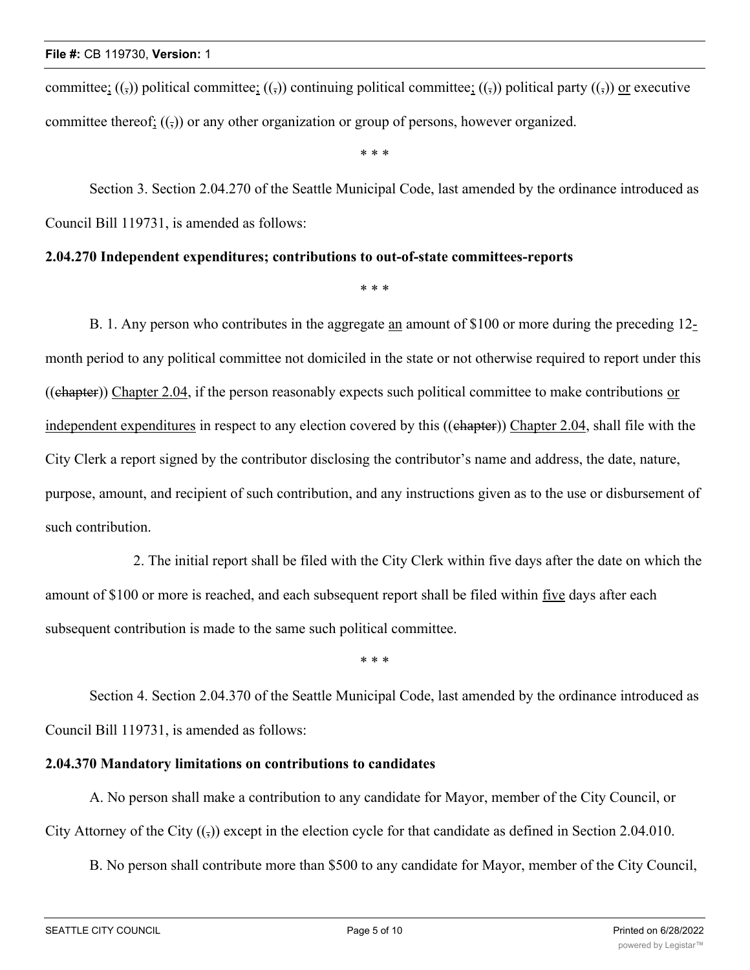committee;  $((\tau)$ ) political committee;  $((\tau)$ ) continuing political committee;  $((\tau)$ ) political party  $((\tau)$ ) or executive committee thereof;  $((\cdot))$  or any other organization or group of persons, however organized.

\* \* \*

Section 3. Section 2.04.270 of the Seattle Municipal Code, last amended by the ordinance introduced as Council Bill 119731, is amended as follows:

#### **2.04.270 Independent expenditures; contributions to out-of-state committees-reports**

\* \* \*

B. 1. Any person who contributes in the aggregate an amount of \$100 or more during the preceding 12 month period to any political committee not domiciled in the state or not otherwise required to report under this ((chapter)) Chapter 2.04, if the person reasonably expects such political committee to make contributions or independent expenditures in respect to any election covered by this ((chapter)) Chapter 2.04, shall file with the City Clerk a report signed by the contributor disclosing the contributor's name and address, the date, nature, purpose, amount, and recipient of such contribution, and any instructions given as to the use or disbursement of such contribution.

2. The initial report shall be filed with the City Clerk within five days after the date on which the amount of \$100 or more is reached, and each subsequent report shall be filed within five days after each subsequent contribution is made to the same such political committee.

\* \* \*

Section 4. Section 2.04.370 of the Seattle Municipal Code, last amended by the ordinance introduced as Council Bill 119731, is amended as follows:

#### **2.04.370 Mandatory limitations on contributions to candidates**

A. No person shall make a contribution to any candidate for Mayor, member of the City Council, or City Attorney of the City  $((,))$  except in the election cycle for that candidate as defined in Section 2.04.010.

B. No person shall contribute more than \$500 to any candidate for Mayor, member of the City Council,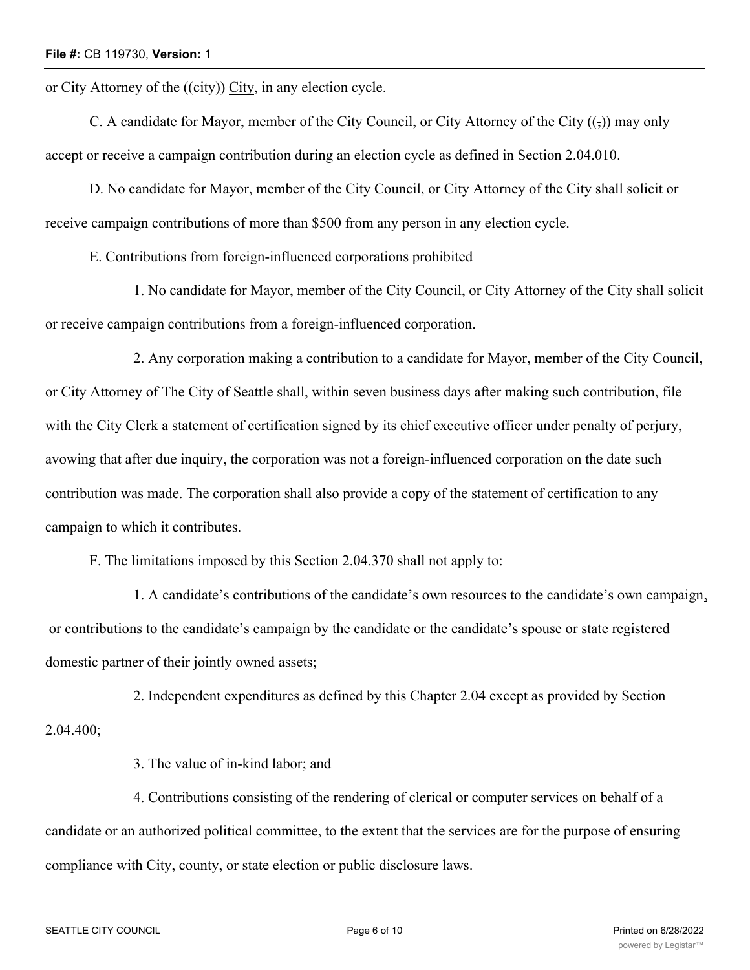or City Attorney of the ((eity)) City, in any election cycle.

C. A candidate for Mayor, member of the City Council, or City Attorney of the City  $((\tau))$  may only accept or receive a campaign contribution during an election cycle as defined in Section 2.04.010.

D. No candidate for Mayor, member of the City Council, or City Attorney of the City shall solicit or receive campaign contributions of more than \$500 from any person in any election cycle.

E. Contributions from foreign-influenced corporations prohibited

1. No candidate for Mayor, member of the City Council, or City Attorney of the City shall solicit or receive campaign contributions from a foreign-influenced corporation.

2. Any corporation making a contribution to a candidate for Mayor, member of the City Council, or City Attorney of The City of Seattle shall, within seven business days after making such contribution, file with the City Clerk a statement of certification signed by its chief executive officer under penalty of perjury, avowing that after due inquiry, the corporation was not a foreign-influenced corporation on the date such contribution was made. The corporation shall also provide a copy of the statement of certification to any campaign to which it contributes.

F. The limitations imposed by this Section 2.04.370 shall not apply to:

1. A candidate's contributions of the candidate's own resources to the candidate's own campaign, or contributions to the candidate's campaign by the candidate or the candidate's spouse or state registered domestic partner of their jointly owned assets;

2. Independent expenditures as defined by this Chapter 2.04 except as provided by Section 2.04.400;

3. The value of in-kind labor; and

4. Contributions consisting of the rendering of clerical or computer services on behalf of a candidate or an authorized political committee, to the extent that the services are for the purpose of ensuring compliance with City, county, or state election or public disclosure laws.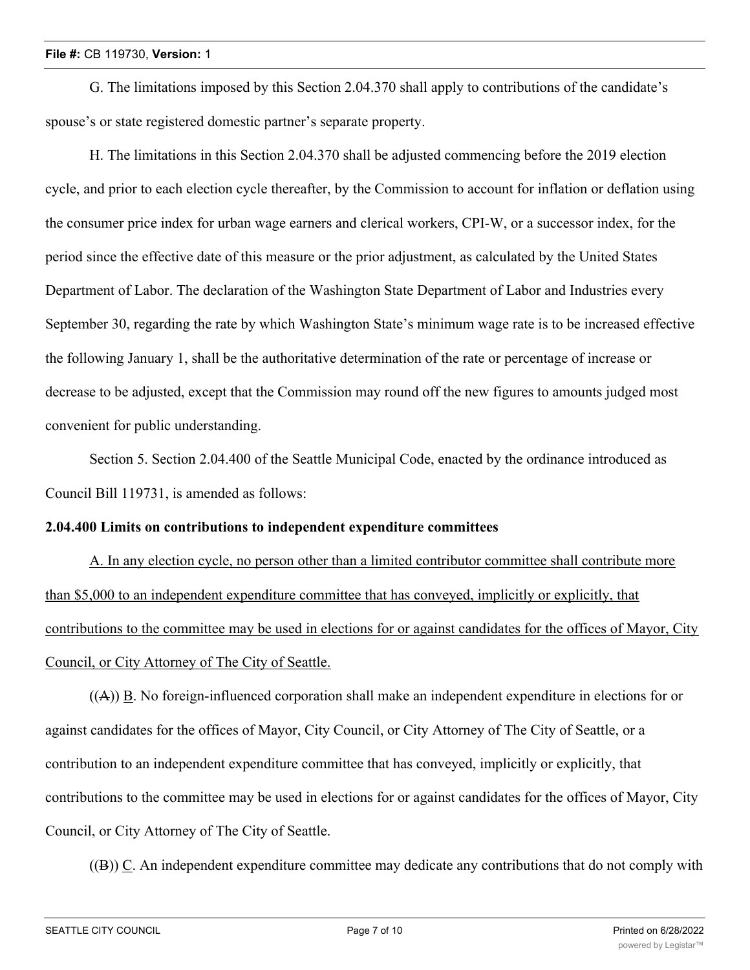#### **File #:** CB 119730, **Version:** 1

G. The limitations imposed by this Section 2.04.370 shall apply to contributions of the candidate's spouse's or state registered domestic partner's separate property.

H. The limitations in this Section 2.04.370 shall be adjusted commencing before the 2019 election cycle, and prior to each election cycle thereafter, by the Commission to account for inflation or deflation using the consumer price index for urban wage earners and clerical workers, CPI-W, or a successor index, for the period since the effective date of this measure or the prior adjustment, as calculated by the United States Department of Labor. The declaration of the Washington State Department of Labor and Industries every September 30, regarding the rate by which Washington State's minimum wage rate is to be increased effective the following January 1, shall be the authoritative determination of the rate or percentage of increase or decrease to be adjusted, except that the Commission may round off the new figures to amounts judged most convenient for public understanding.

Section 5. Section 2.04.400 of the Seattle Municipal Code, enacted by the ordinance introduced as Council Bill 119731, is amended as follows:

#### **2.04.400 Limits on contributions to independent expenditure committees**

A. In any election cycle, no person other than a limited contributor committee shall contribute more than \$5,000 to an independent expenditure committee that has conveyed, implicitly or explicitly, that contributions to the committee may be used in elections for or against candidates for the offices of Mayor, City Council, or City Attorney of The City of Seattle.

 $((A))$  B. No foreign-influenced corporation shall make an independent expenditure in elections for or against candidates for the offices of Mayor, City Council, or City Attorney of The City of Seattle, or a contribution to an independent expenditure committee that has conveyed, implicitly or explicitly, that contributions to the committee may be used in elections for or against candidates for the offices of Mayor, City Council, or City Attorney of The City of Seattle.

 $((B))$  C. An independent expenditure committee may dedicate any contributions that do not comply with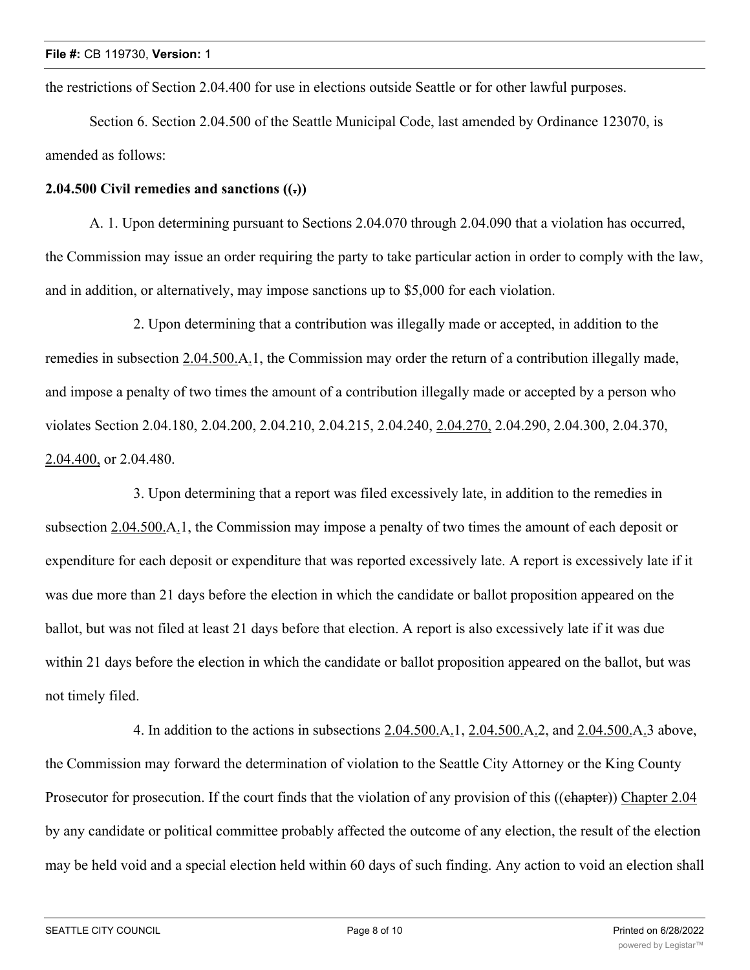the restrictions of Section 2.04.400 for use in elections outside Seattle or for other lawful purposes.

Section 6. Section 2.04.500 of the Seattle Municipal Code, last amended by Ordinance 123070, is amended as follows:

#### **2.04.500 Civil remedies and sanctions ((.))**

A. 1. Upon determining pursuant to Sections 2.04.070 through 2.04.090 that a violation has occurred, the Commission may issue an order requiring the party to take particular action in order to comply with the law, and in addition, or alternatively, may impose sanctions up to \$5,000 for each violation.

2. Upon determining that a contribution was illegally made or accepted, in addition to the remedies in subsection 2.04.500.A.1, the Commission may order the return of a contribution illegally made, and impose a penalty of two times the amount of a contribution illegally made or accepted by a person who violates Section 2.04.180, 2.04.200, 2.04.210, 2.04.215, 2.04.240, 2.04.270, 2.04.290, 2.04.300, 2.04.370, 2.04.400, or 2.04.480.

3. Upon determining that a report was filed excessively late, in addition to the remedies in subsection 2.04.500.A.1, the Commission may impose a penalty of two times the amount of each deposit or expenditure for each deposit or expenditure that was reported excessively late. A report is excessively late if it was due more than 21 days before the election in which the candidate or ballot proposition appeared on the ballot, but was not filed at least 21 days before that election. A report is also excessively late if it was due within 21 days before the election in which the candidate or ballot proposition appeared on the ballot, but was not timely filed.

4. In addition to the actions in subsections 2.04.500.A.1, 2.04.500.A.2, and 2.04.500.A.3 above, the Commission may forward the determination of violation to the Seattle City Attorney or the King County Prosecutor for prosecution. If the court finds that the violation of any provision of this ((chapter)) Chapter 2.04 by any candidate or political committee probably affected the outcome of any election, the result of the election may be held void and a special election held within 60 days of such finding. Any action to void an election shall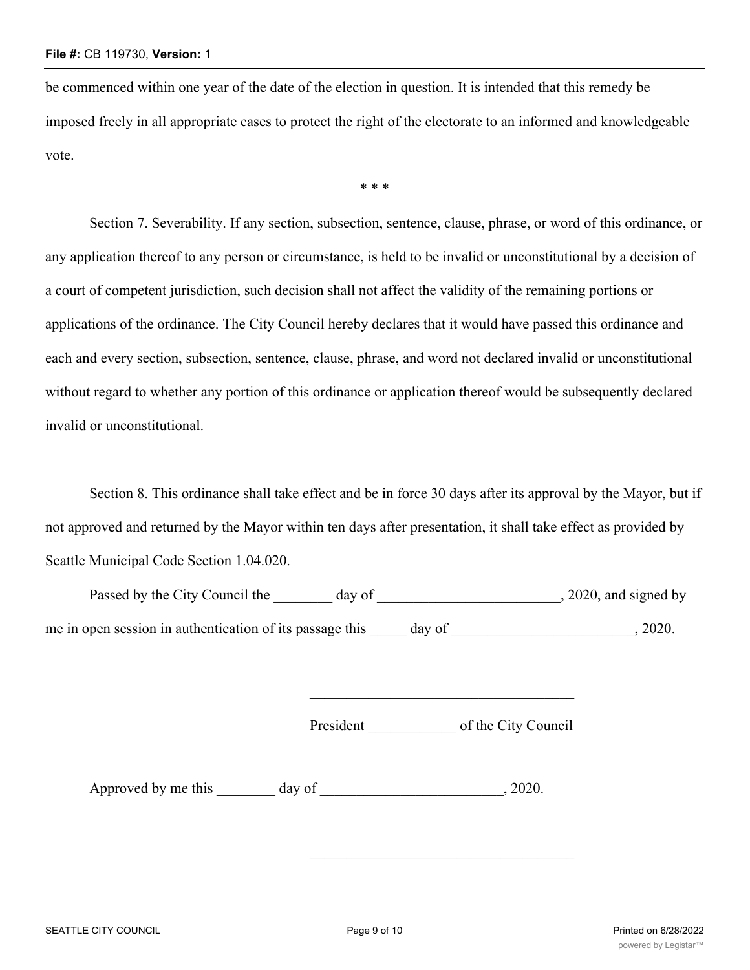be commenced within one year of the date of the election in question. It is intended that this remedy be imposed freely in all appropriate cases to protect the right of the electorate to an informed and knowledgeable vote.

\* \* \*

Section 7. Severability. If any section, subsection, sentence, clause, phrase, or word of this ordinance, or any application thereof to any person or circumstance, is held to be invalid or unconstitutional by a decision of a court of competent jurisdiction, such decision shall not affect the validity of the remaining portions or applications of the ordinance. The City Council hereby declares that it would have passed this ordinance and each and every section, subsection, sentence, clause, phrase, and word not declared invalid or unconstitutional without regard to whether any portion of this ordinance or application thereof would be subsequently declared invalid or unconstitutional.

Section 8. This ordinance shall take effect and be in force 30 days after its approval by the Mayor, but if not approved and returned by the Mayor within ten days after presentation, it shall take effect as provided by Seattle Municipal Code Section 1.04.020.

Passed by the City Council the \_\_\_\_\_\_\_ day of \_\_\_\_\_\_\_\_\_\_\_\_\_\_\_\_\_\_\_\_\_\_\_\_, 2020, and signed by me in open session in authentication of its passage this day of  $\qquad \qquad$ , 2020.

President of the City Council

Approved by me this day of  $\qquad \qquad$ , 2020.